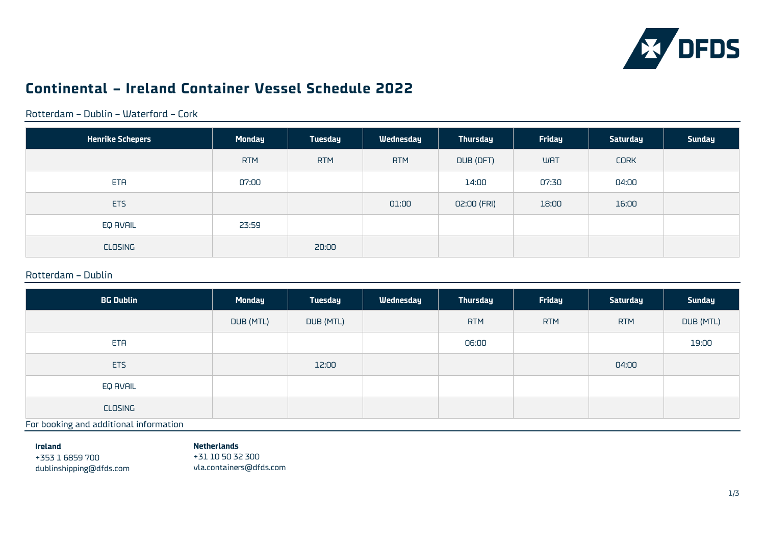

# **Continental – Ireland Container Vessel Schedule 2022**

Rotterdam – Dublin – Waterford – Cork

| <b>Henrike Schepers</b> | <b>Monday</b> | Tuesday    | Wednesday  | <b>Thursday</b> | Friday     | <b>Saturday</b> | <b>Sunday</b> |
|-------------------------|---------------|------------|------------|-----------------|------------|-----------------|---------------|
|                         | <b>RTM</b>    | <b>RTM</b> | <b>RTM</b> | DUB (DFT)       | <b>WAT</b> | <b>CORK</b>     |               |
| <b>ETA</b>              | 07:00         |            |            | 14:00           | 07:30      | 04:00           |               |
| <b>ETS</b>              |               |            | 01:00      | 02:00 (FRI)     | 18:00      | 16:00           |               |
| EQ AVAIL                | 23:59         |            |            |                 |            |                 |               |
| CLOSING                 |               | 20:00      |            |                 |            |                 |               |

### Rotterdam – Dublin

| <b>Monday</b> | Tuesday   | Wednesday | Thursday   | Friday     | <b>Saturday</b> | <b>Sunday</b> |
|---------------|-----------|-----------|------------|------------|-----------------|---------------|
| DUB (MTL)     | DUB (MTL) |           | <b>RTM</b> | <b>RTM</b> | <b>RTM</b>      | DUB (MTL)     |
|               |           |           | 06:00      |            |                 | 19:00         |
|               | 12:00     |           |            |            | 04:00           |               |
|               |           |           |            |            |                 |               |
|               |           |           |            |            |                 |               |
|               |           |           |            |            |                 |               |

For booking and additional information

**Ireland**

#### **Netherlands**

+353 1 6859 700 [dublinshipping@dfds.com](mailto:dublinshipping@dfds.com)

+31 10 50 32 300 vla.containers@dfds.com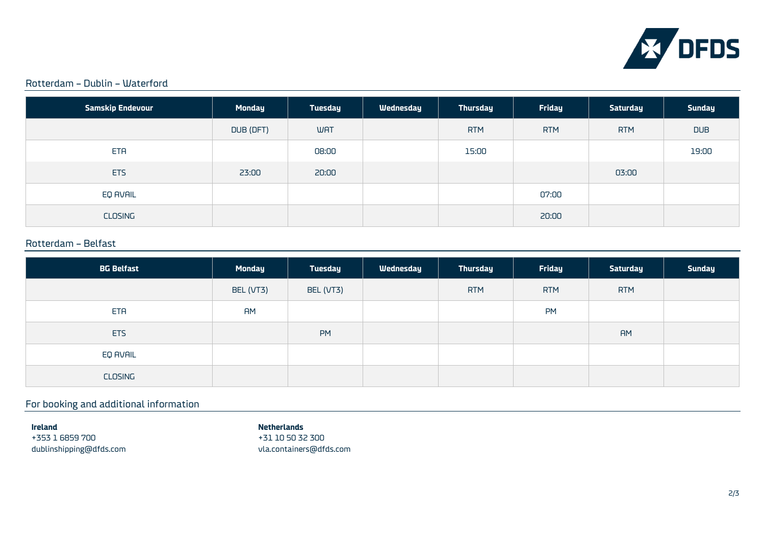

### Rotterdam – Dublin – Waterford

| <b>Samskip Endevour</b> | <b>Monday</b> | <b>Tuesday</b> | Wednesday | <b>Thursday</b> | Friday     | <b>Saturday</b> | <b>Sunday</b> |
|-------------------------|---------------|----------------|-----------|-----------------|------------|-----------------|---------------|
|                         | DUB (DFT)     | <b>WAT</b>     |           | <b>RTM</b>      | <b>RTM</b> | <b>RTM</b>      | <b>DUB</b>    |
| ETA                     |               | 08:00          |           | 15:00           |            |                 | 19:00         |
| ETS                     | 23:00         | 20:00          |           |                 |            | 03:00           |               |
| EQ AVAIL                |               |                |           |                 | 07:00      |                 |               |
| CLOSING                 |               |                |           |                 | 20:00      |                 |               |

### Rotterdam – Belfast

| <b>BG Belfast</b> | <b>Monday</b> | Tuesday   | Wednesday | <b>Thursday</b> | Friday     | Saturday   | <b>Sunday</b> |
|-------------------|---------------|-----------|-----------|-----------------|------------|------------|---------------|
|                   | BEL (VT3)     | BEL (VT3) |           | <b>RTM</b>      | <b>RTM</b> | <b>RTM</b> |               |
| ETA               | <b>AM</b>     |           |           |                 | <b>PM</b>  |            |               |
| ETS               |               | <b>PM</b> |           |                 |            | <b>AM</b>  |               |
| EQ AVAIL          |               |           |           |                 |            |            |               |
| CLOSING           |               |           |           |                 |            |            |               |

# For booking and additional information

**Ireland** +353 1 6859 700 [dublinshipping@dfds.com](mailto:dublinshipping@dfds.com)

#### **Netherlands**

+31 10 50 32 300 vla.containers@dfds.com